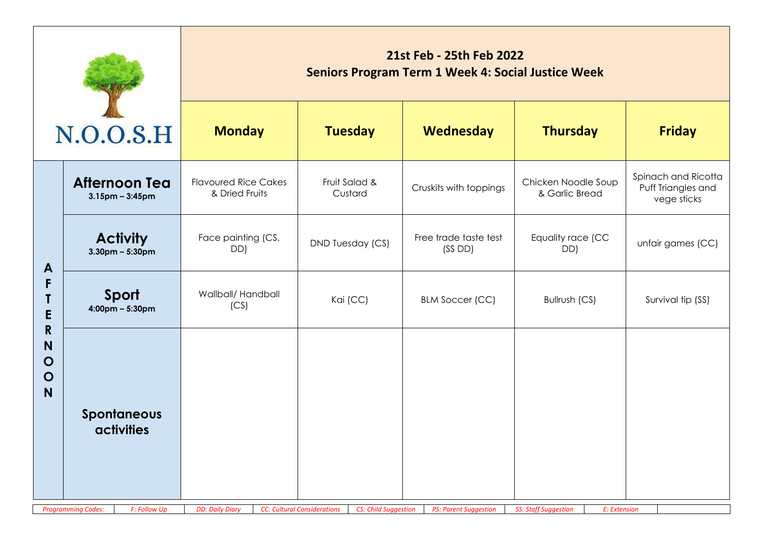|                                                                |                                                                               | 21st Feb - 25th Feb 2022<br><b>Seniors Program Term 1 Week 4: Social Justice Week</b> |                                                                   |                                 |                                             |                                                          |  |  |  |
|----------------------------------------------------------------|-------------------------------------------------------------------------------|---------------------------------------------------------------------------------------|-------------------------------------------------------------------|---------------------------------|---------------------------------------------|----------------------------------------------------------|--|--|--|
|                                                                | N.O.O.S.H                                                                     | <b>Monday</b>                                                                         | <b>Tuesday</b>                                                    | Wednesday                       | <b>Thursday</b>                             | <b>Friday</b>                                            |  |  |  |
|                                                                | <b>Afternoon Tea</b><br>$3.15$ pm – $3:45$ pm                                 | <b>Flavoured Rice Cakes</b><br>& Dried Fruits                                         | Fruit Salad &<br>Custard                                          | Cruskits with toppings          | Chicken Noodle Soup<br>& Garlic Bread       | Spinach and Ricotta<br>Puff Triangles and<br>vege sticks |  |  |  |
| $\mathbf{A}$                                                   | <b>Activity</b><br>$3.30$ pm – 5:30pm                                         | Face painting (CS,<br>DD)                                                             | DND Tuesday (CS)                                                  | Free trade taste test<br>(SSDD) | Equality race (CC<br>DD)                    | unfair games (CC)                                        |  |  |  |
| F<br>E<br>$\mathsf{R}$<br>N<br>$\mathbf O$<br>$\mathbf O$<br>N | Sport<br>$4:00 \text{pm} - 5:30 \text{pm}$                                    | Wallball/ Handball<br>(CS)                                                            | Kai (CC)                                                          | <b>BLM Soccer (CC)</b>          | Bullrush (CS)                               | Survival tip (SS)                                        |  |  |  |
|                                                                | Spontaneous<br><b>activities</b><br>F: Follow Up<br><b>Programming Codes:</b> | <b>DD: Daily Diary</b>                                                                | <b>CC: Cultural Considerations</b><br><b>CS: Child Suggestion</b> | <b>PS: Parent Suggestion</b>    | <b>SS: Staff Suggestion</b><br>E: Extension |                                                          |  |  |  |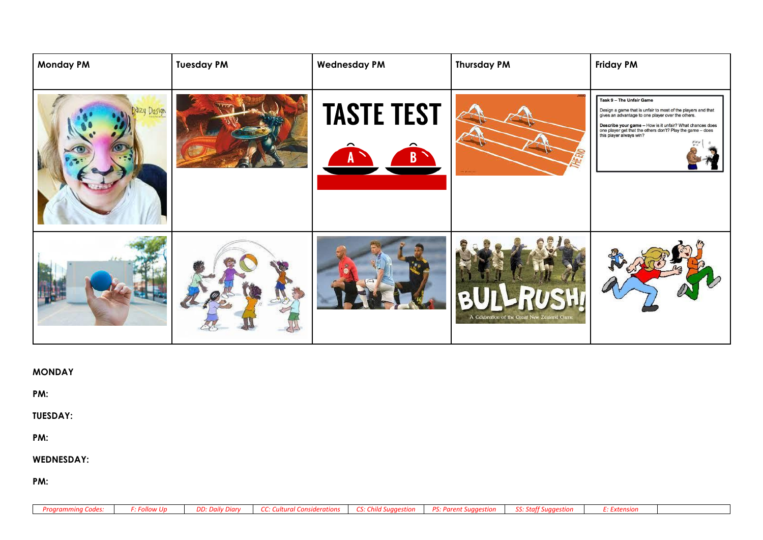| <b>Monday PM</b> | <b>Tuesday PM</b> | <b>Wednesday PM</b>    | <b>Thursday PM</b>                                    | <b>Friday PM</b>                                                                                                                                                                                                                                                                                   |
|------------------|-------------------|------------------------|-------------------------------------------------------|----------------------------------------------------------------------------------------------------------------------------------------------------------------------------------------------------------------------------------------------------------------------------------------------------|
| Mizy Design      |                   | <b>TASTE TEST</b><br>B |                                                       | Task 9 - The Unfair Game<br>Design a game that is unfair to most of the players and that<br>gives an advantage to one player over the others.<br>Describe your game - How is it unfair? What chances does<br>one player get that the others don't? Play the game - does<br>this player always win? |
|                  |                   |                        | LRUSHI<br>A Celebration of the Great New Zealand Game |                                                                                                                                                                                                                                                                                                    |

| MONDAY |  |
|--------|--|
|--------|--|

**PM:** 

**TUESDAY:**

**PM:** 

**WEDNESDAY:**

**PM:** 

| <b>Programming Codes:</b> |  | F: Follow Up   DD: Daily Diary   CC: Cultural Considerations   CS: Child Suggestion   PS: Parent Suggestion   SS: Staff Suggestion |  | <b>F: Extension</b> |
|---------------------------|--|------------------------------------------------------------------------------------------------------------------------------------|--|---------------------|